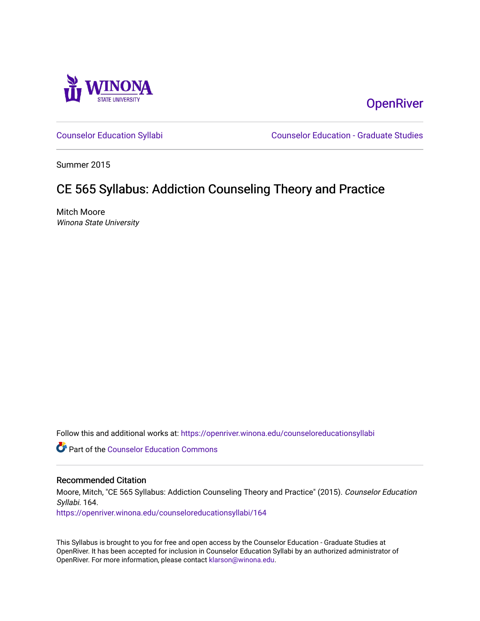

**OpenRiver** 

[Counselor Education Syllabi](https://openriver.winona.edu/counseloreducationsyllabi) [Counselor Education - Graduate Studies](https://openriver.winona.edu/counseloreducation) 

Summer 2015

# CE 565 Syllabus: Addiction Counseling Theory and Practice

Mitch Moore Winona State University

Follow this and additional works at: [https://openriver.winona.edu/counseloreducationsyllabi](https://openriver.winona.edu/counseloreducationsyllabi?utm_source=openriver.winona.edu%2Fcounseloreducationsyllabi%2F164&utm_medium=PDF&utm_campaign=PDFCoverPages)

Part of the [Counselor Education Commons](http://network.bepress.com/hgg/discipline/1278?utm_source=openriver.winona.edu%2Fcounseloreducationsyllabi%2F164&utm_medium=PDF&utm_campaign=PDFCoverPages) 

#### Recommended Citation

Moore, Mitch, "CE 565 Syllabus: Addiction Counseling Theory and Practice" (2015). Counselor Education Syllabi. 164.

[https://openriver.winona.edu/counseloreducationsyllabi/164](https://openriver.winona.edu/counseloreducationsyllabi/164?utm_source=openriver.winona.edu%2Fcounseloreducationsyllabi%2F164&utm_medium=PDF&utm_campaign=PDFCoverPages)

This Syllabus is brought to you for free and open access by the Counselor Education - Graduate Studies at OpenRiver. It has been accepted for inclusion in Counselor Education Syllabi by an authorized administrator of OpenRiver. For more information, please contact [klarson@winona.edu](mailto:klarson@winona.edu).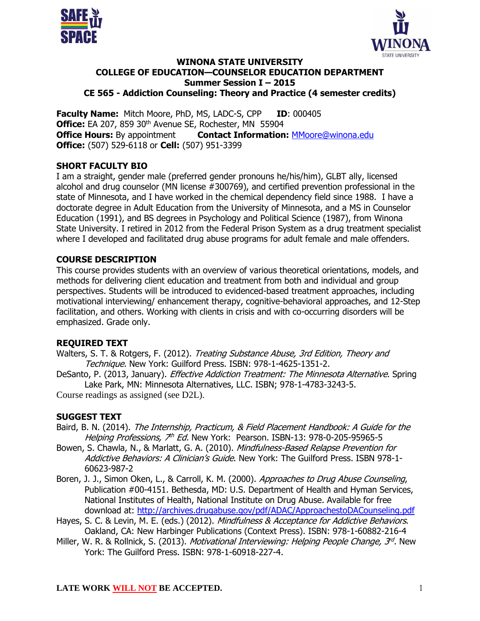



#### **WINONA STATE UNIVERSITY COLLEGE OF EDUCATION—COUNSELOR EDUCATION DEPARTMENT Summer Session I – 2015 CE 565 - Addiction Counseling: Theory and Practice (4 semester credits)**

**Faculty Name:** Mitch Moore, PhD, MS, LADC-S, CPP **ID**: 000405 **Office:** EA 207, 859 30<sup>th</sup> Avenue SE, Rochester, MN 55904 **Office Hours:** By appointment **Contact Information: [MMoore@winona.edu](mailto:MMoore@winona.edu) Office:** (507) 529-6118 or **Cell:** (507) 951-3399

### **SHORT FACULTY BIO**

I am a straight, gender male (preferred gender pronouns he/his/him), GLBT ally, licensed alcohol and drug counselor (MN license #300769), and certified prevention professional in the state of Minnesota, and I have worked in the chemical dependency field since 1988. I have a doctorate degree in Adult Education from the University of Minnesota, and a MS in Counselor Education (1991), and BS degrees in Psychology and Political Science (1987), from Winona State University. I retired in 2012 from the Federal Prison System as a drug treatment specialist where I developed and facilitated drug abuse programs for adult female and male offenders.

# **COURSE DESCRIPTION**

This course provides students with an overview of various theoretical orientations, models, and methods for delivering client education and treatment from both and individual and group perspectives. Students will be introduced to evidenced-based treatment approaches, including motivational interviewing/ enhancement therapy, cognitive-behavioral approaches, and 12-Step facilitation, and others. Working with clients in crisis and with co-occurring disorders will be emphasized. Grade only.

# **REQUIRED TEXT**

- Walters, S. T. & Rotgers, F. (2012). Treating Substance Abuse, 3rd Edition, Theory and Technique. New York: Guilford Press. ISBN: 978-1-4625-1351-2.
- DeSanto, P. (2013, January). *Effective Addiction Treatment: The Minnesota Alternative*. Spring Lake Park, MN: Minnesota Alternatives, LLC. ISBN; 978-1-4783-3243-5.

Course readings as assigned (see D2L).

# **SUGGEST TEXT**

- Baird, B. N. (2014). The Internship, Practicum, & Field Placement Handbook: A Guide for the Helping Professions, 7<sup>th</sup> Ed. New York: Pearson. ISBN-13: 978-0-205-95965-5
- Bowen, S. Chawla, N., & Marlatt, G. A. (2010). Mindfulness-Based Relapse Prevention for Addictive Behaviors: A Clinician's Guide. New York: The Guilford Press. ISBN 978-1-60623-987-2
- Boren, J. J., Simon Oken, L., & Carroll, K. M. (2000). Approaches to Drug Abuse Counseling, Publication #00-4151. Bethesda, MD: U.S. Department of Health and Hyman Services, National Institutes of Health, National Institute on Drug Abuse. Available for free download at:<http://archives.drugabuse.gov/pdf/ADAC/ApproachestoDACounseling.pdf>
- Hayes, S. C. & Levin, M. E. (eds.) (2012). Mindfulness & Acceptance for Addictive Behaviors. Oakland, CA: New Harbinger Publications (Context Press). ISBN: 978-1-60882-216-4
- Miller, W. R. & Rollnick, S. (2013). *Motivational Interviewing: Helping People Change, 3<sup>rd</sup>*. New York: The Guilford Press. ISBN: 978-1-60918-227-4.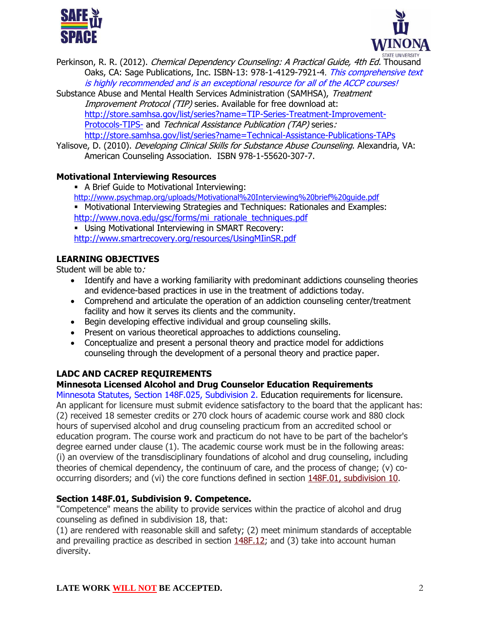



- Perkinson, R. R. (2012). *Chemical Dependency Counseling: A Practical Guide, 4th Ed.* Thousand Oaks, CA: Sage Publications, Inc. ISBN-13: 978-1-4129-7921-4. This comprehensive text is highly recommended and is an exceptional resource for all of the ACCP courses!
- Substance Abuse and Mental Health Services Administration (SAMHSA), Treatment Improvement Protocol (TIP) series. Available for free download at: [http://store.samhsa.gov/list/series?name=TIP-Series-Treatment-Improvement-](http://store.samhsa.gov/list/series?name=TIP-Series-Treatment-Improvement-Protocols-TIPS-)[Protocols-TIPS-](http://store.samhsa.gov/list/series?name=TIP-Series-Treatment-Improvement-Protocols-TIPS-) and Technical Assistance Publication (TAP) series: <http://store.samhsa.gov/list/series?name=Technical-Assistance-Publications-TAPs>
- Yalisove, D. (2010). *Developing Clinical Skills for Substance Abuse Counseling*. Alexandria, VA: American Counseling Association. ISBN 978-1-55620-307-7.

# **Motivational Interviewing Resources**

- A Brief Guide to Motivational Interviewing: <http://www.psychmap.org/uploads/Motivational%20Interviewing%20brief%20guide.pdf>
- Motivational Interviewing Strategies and Techniques: Rationales and Examples: [http://www.nova.edu/gsc/forms/mi\\_rationale\\_techniques.pdf](http://www.nova.edu/gsc/forms/mi_rationale_techniques.pdf)
- Using Motivational Interviewing in SMART Recovery: <http://www.smartrecovery.org/resources/UsingMIinSR.pdf>

#### **LEARNING OBJECTIVES**

Student will be able to:

- Identify and have a working familiarity with predominant addictions counseling theories and evidence-based practices in use in the treatment of addictions today.
- Comprehend and articulate the operation of an addiction counseling center/treatment facility and how it serves its clients and the community.
- Begin developing effective individual and group counseling skills.
- Present on various theoretical approaches to addictions counseling.
- Conceptualize and present a personal theory and practice model for addictions counseling through the development of a personal theory and practice paper.

# **LADC AND CACREP REQUIREMENTS**

# **Minnesota Licensed Alcohol and Drug Counselor Education Requirements**

Minnesota Statutes, Section 148F.025, Subdivision 2. Education requirements for licensure. An applicant for licensure must submit evidence satisfactory to the board that the applicant has: (2) received 18 semester credits or 270 clock hours of academic course work and 880 clock hours of supervised alcohol and drug counseling practicum from an accredited school or education program. The course work and practicum do not have to be part of the bachelor's degree earned under clause (1). The academic course work must be in the following areas: (i) an overview of the transdisciplinary foundations of alcohol and drug counseling, including theories of chemical dependency, the continuum of care, and the process of change; (v) co-occurring disorders; and (vi) the core functions defined in section [148F.01, subdivision 10.](https://www.revisor.mn.gov/statutes?id=148F.01#stat.148F.01.10)

#### **Section 148F.01, Subdivision 9. Competence.**

"Competence" means the ability to provide services within the practice of alcohol and drug counseling as defined in subdivision 18, that:

(1) are rendered with reasonable skill and safety; (2) meet minimum standards of acceptable and prevailing practice as described in section [148F.12;](https://www.revisor.mn.gov/statutes?id=148F.12#stat.148F.12) and (3) take into account human diversity.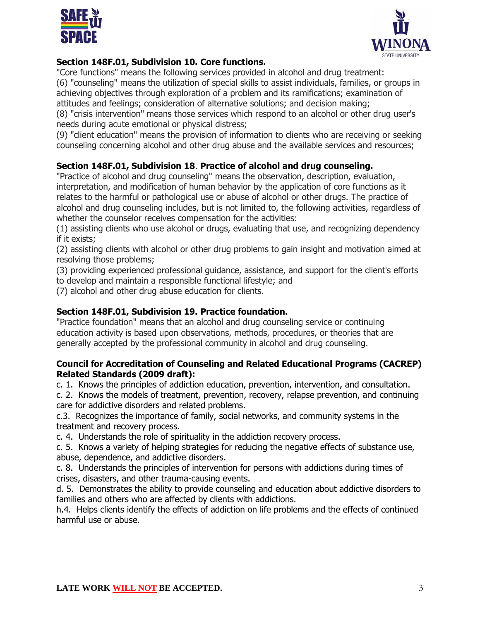



# **Section 148F.01, Subdivision 10. Core functions.**

"Core functions" means the following services provided in alcohol and drug treatment:

(6) "counseling" means the utilization of special skills to assist individuals, families, or groups in achieving objectives through exploration of a problem and its ramifications; examination of attitudes and feelings; consideration of alternative solutions; and decision making;

(8) "crisis intervention" means those services which respond to an alcohol or other drug user's needs during acute emotional or physical distress;

(9) "client education" means the provision of information to clients who are receiving or seeking counseling concerning alcohol and other drug abuse and the available services and resources;

# **Section 148F.01, Subdivision 18**. **Practice of alcohol and drug counseling.**

"Practice of alcohol and drug counseling" means the observation, description, evaluation, interpretation, and modification of human behavior by the application of core functions as it relates to the harmful or pathological use or abuse of alcohol or other drugs. The practice of alcohol and drug counseling includes, but is not limited to, the following activities, regardless of whether the counselor receives compensation for the activities:

(1) assisting clients who use alcohol or drugs, evaluating that use, and recognizing dependency if it exists;

(2) assisting clients with alcohol or other drug problems to gain insight and motivation aimed at resolving those problems;

(3) providing experienced professional guidance, assistance, and support for the client's efforts to develop and maintain a responsible functional lifestyle; and

(7) alcohol and other drug abuse education for clients.

# **Section 148F.01, Subdivision 19. Practice foundation.**

"Practice foundation" means that an alcohol and drug counseling service or continuing education activity is based upon observations, methods, procedures, or theories that are generally accepted by the professional community in alcohol and drug counseling.

### **Council for Accreditation of Counseling and Related Educational Programs (CACREP) Related Standards (2009 draft):**

c. 1. Knows the principles of addiction education, prevention, intervention, and consultation.

c. 2. Knows the models of treatment, prevention, recovery, relapse prevention, and continuing care for addictive disorders and related problems.

c.3. Recognizes the importance of family, social networks, and community systems in the treatment and recovery process.

c. 4. Understands the role of spirituality in the addiction recovery process.

c. 5. Knows a variety of helping strategies for reducing the negative effects of substance use, abuse, dependence, and addictive disorders.

c. 8. Understands the principles of intervention for persons with addictions during times of crises, disasters, and other trauma-causing events.

d. 5. Demonstrates the ability to provide counseling and education about addictive disorders to families and others who are affected by clients with addictions.

h.4. Helps clients identify the effects of addiction on life problems and the effects of continued harmful use or abuse.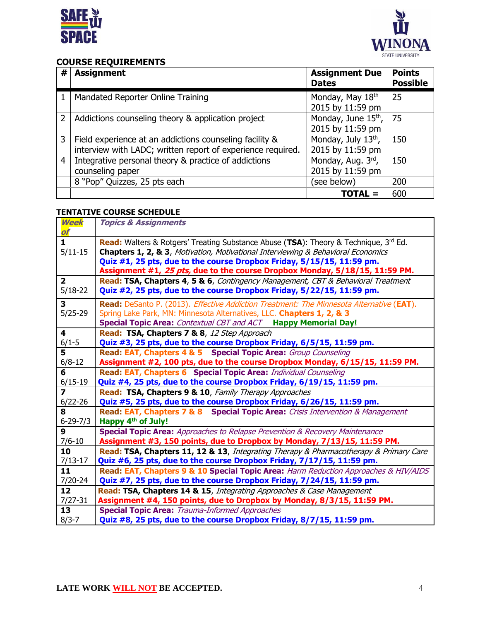



# **COURSE REQUIREMENTS**

| # | <b>Assignment</b>                                                                                                      | <b>Assignment Due</b><br><b>Dates</b>        | <b>Points</b><br><b>Possible</b> |
|---|------------------------------------------------------------------------------------------------------------------------|----------------------------------------------|----------------------------------|
|   | Mandated Reporter Online Training                                                                                      | Monday, May 18th<br>2015 by 11:59 pm         | 25                               |
| 2 | Addictions counseling theory & application project                                                                     | Monday, June $15^{th}$ ,<br>2015 by 11:59 pm | 75                               |
| 3 | Field experience at an addictions counseling facility &<br>interview with LADC; written report of experience required. | Monday, July 13th,<br>2015 by 11:59 pm       | 150                              |
| 4 | Integrative personal theory & practice of addictions<br>counseling paper                                               | Monday, Aug. 3rd,<br>2015 by 11:59 pm        | 150                              |
|   | 8 "Pop" Quizzes, 25 pts each                                                                                           | (see below)                                  | 200                              |
|   |                                                                                                                        | <b>TOTAL =</b>                               | 600                              |

#### **TENTATIVE COURSE SCHEDULE**

| Week<br>of              | <b>Topics &amp; Assignments</b>                                                                  |  |  |  |  |  |  |  |  |
|-------------------------|--------------------------------------------------------------------------------------------------|--|--|--|--|--|--|--|--|
| $\mathbf{1}$            | <b>Read:</b> Walters & Rotgers' Treating Substance Abuse (TSA): Theory & Technique, $3^{rd}$ Ed. |  |  |  |  |  |  |  |  |
| $5/11 - 15$             | Chapters 1, 2, & 3, Motivation, Motivational Interviewing & Behavioral Economics                 |  |  |  |  |  |  |  |  |
|                         | Quiz #1, 25 pts, due to the course Dropbox Friday, 5/15/15, 11:59 pm.                            |  |  |  |  |  |  |  |  |
|                         | Assignment #1, 25 pts, due to the course Dropbox Monday, 5/18/15, 11:59 PM.                      |  |  |  |  |  |  |  |  |
| $\overline{2}$          | Read: TSA, Chapters 4, 5 & 6, Contingency Management, CBT & Behavioral Treatment                 |  |  |  |  |  |  |  |  |
| $5/18 - 22$             | Quiz #2, 25 pts, due to the course Dropbox Friday, 5/22/15, 11:59 pm.                            |  |  |  |  |  |  |  |  |
| $\overline{\mathbf{3}}$ | Read: DeSanto P. (2013). Effective Addiction Treatment: The Minnesota Alternative (EAT).         |  |  |  |  |  |  |  |  |
| $5/25-29$               | Spring Lake Park, MN: Minnesota Alternatives, LLC. Chapters 1, 2, & 3                            |  |  |  |  |  |  |  |  |
|                         | Special Topic Area: Contextual CBT and ACT Happy Memorial Day!                                   |  |  |  |  |  |  |  |  |
| 4                       | Read: TSA, Chapters 7 & 8, 12 Step Approach                                                      |  |  |  |  |  |  |  |  |
| $6/1 - 5$               | Quiz #3, 25 pts, due to the course Dropbox Friday, 6/5/15, 11:59 pm.                             |  |  |  |  |  |  |  |  |
| 5                       | Read: EAT, Chapters 4 & 5 Special Topic Area: Group Counseling                                   |  |  |  |  |  |  |  |  |
| $6/8 - 12$              | Assignment #2, 100 pts, due to the course Dropbox Monday, 6/15/15, 11:59 PM.                     |  |  |  |  |  |  |  |  |
| 6                       | Read: EAT, Chapters 6 Special Topic Area: Individual Counseling                                  |  |  |  |  |  |  |  |  |
| $6/15 - 19$             | Quiz #4, 25 pts, due to the course Dropbox Friday, 6/19/15, 11:59 pm.                            |  |  |  |  |  |  |  |  |
| 7                       | Read: TSA, Chapters 9 & 10, Family Therapy Approaches                                            |  |  |  |  |  |  |  |  |
| $6/22 - 26$             | Quiz #5, 25 pts, due to the course Dropbox Friday, 6/26/15, 11:59 pm.                            |  |  |  |  |  |  |  |  |
| 8                       | Read: EAT, Chapters 7 & 8 Special Topic Area: Crisis Intervention & Management                   |  |  |  |  |  |  |  |  |
| $6 - 29 - 7/3$          | Happy 4 <sup>th</sup> of July!                                                                   |  |  |  |  |  |  |  |  |
| 9                       | <b>Special Topic Area:</b> Approaches to Relapse Prevention & Recovery Maintenance               |  |  |  |  |  |  |  |  |
| $7/6 - 10$              | Assignment #3, 150 points, due to Dropbox by Monday, 7/13/15, 11:59 PM.                          |  |  |  |  |  |  |  |  |
| 10                      | Read: TSA, Chapters 11, 12 & 13, Integrating Therapy & Pharmacotherapy & Primary Care            |  |  |  |  |  |  |  |  |
| $7/13 - 17$             | Quiz #6, 25 pts, due to the course Dropbox Friday, 7/17/15, 11:59 pm.                            |  |  |  |  |  |  |  |  |
| 11                      | Read: EAT, Chapters 9 & 10 Special Topic Area: Harm Reduction Approaches & HIV/AIDS              |  |  |  |  |  |  |  |  |
| 7/20-24                 | Quiz #7, 25 pts, due to the course Dropbox Friday, 7/24/15, 11:59 pm.                            |  |  |  |  |  |  |  |  |
| 12                      | Read: TSA, Chapters 14 & 15, Integrating Approaches & Case Management                            |  |  |  |  |  |  |  |  |
| $7/27 - 31$             | Assignment #4, 150 points, due to Dropbox by Monday, 8/3/15, 11:59 PM.                           |  |  |  |  |  |  |  |  |
| 13                      | <b>Special Topic Area: Trauma-Informed Approaches</b>                                            |  |  |  |  |  |  |  |  |
| $8/3 - 7$               | Quiz #8, 25 pts, due to the course Dropbox Friday, 8/7/15, 11:59 pm.                             |  |  |  |  |  |  |  |  |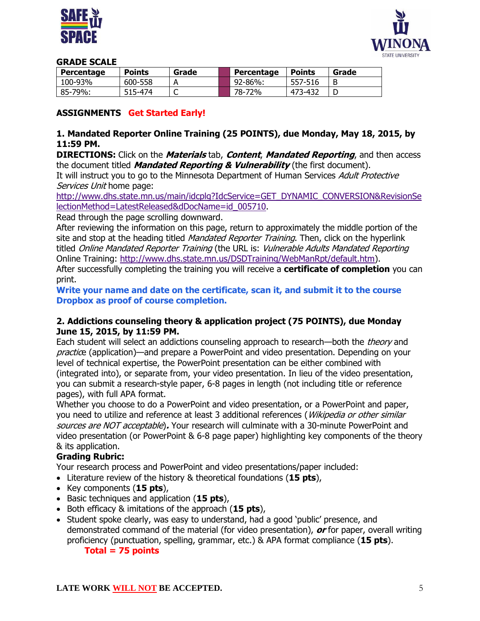



#### **GRADE SCALE**

| Percentage | <b>Points</b> | Grade | Percentage | <b>Points</b> | Grade |
|------------|---------------|-------|------------|---------------|-------|
| 100-93%    | 600-558       |       | 92-86%:    | 557-516       |       |
| 85-79%:    | 515-474       | ֊     | 78-72%     | 473-432       |       |

# **ASSIGNMENTS Get Started Early!**

### **1. Mandated Reporter Online Training (25 POINTS), due Monday, May 18, 2015, by 11:59 PM.**

**DIRECTIONS:** Click on the **Materials** tab, **Content**, **Mandated Reporting**, and then access the document titled **Mandated Reporting & Vulnerability** (the first document).

It will instruct you to go to the Minnesota Department of Human Services Adult Protective Services Unit home page:

[http://www.dhs.state.mn.us/main/idcplg?IdcService=GET\\_DYNAMIC\\_CONVERSION&RevisionSe](http://www.dhs.state.mn.us/main/idcplg?IdcService=GET_DYNAMIC_CONVERSION&RevisionSelectionMethod=LatestReleased&dDocName=id_005710) [lectionMethod=LatestReleased&dDocName=id\\_005710.](http://www.dhs.state.mn.us/main/idcplg?IdcService=GET_DYNAMIC_CONVERSION&RevisionSelectionMethod=LatestReleased&dDocName=id_005710)

Read through the page scrolling downward.

After reviewing the information on this page, return to approximately the middle portion of the site and stop at the heading titled *Mandated Reporter Training*. Then, click on the hyperlink titled Online Mandated Reporter Training (the URL is: Vulnerable Adults Mandated Reporting Online Training: [http://www.dhs.state.mn.us/DSDTraining/WebManRpt/default.htm\)](http://www.dhs.state.mn.us/DSDTraining/WebManRpt/default.htm).

After successfully completing the training you will receive a **certificate of completion** you can print.

**Write your name and date on the certificate, scan it, and submit it to the course Dropbox as proof of course completion.**

#### **2. Addictions counseling theory & application project (75 POINTS), due Monday June 15, 2015, by 11:59 PM.**

Each student will select an addictions counseling approach to research—both the *theory* and practice (application)—and prepare a PowerPoint and video presentation. Depending on your level of technical expertise, the PowerPoint presentation can be either combined with (integrated into), or separate from, your video presentation. In lieu of the video presentation, you can submit a research-style paper, 6-8 pages in length (not including title or reference pages), with full APA format.

Whether you choose to do a PowerPoint and video presentation, or a PowerPoint and paper, you need to utilize and reference at least 3 additional references (*Wikipedia or other similar* sources are NOT acceptable)**.** Your research will culminate with a 30-minute PowerPoint and video presentation (or PowerPoint & 6-8 page paper) highlighting key components of the theory & its application.

# **Grading Rubric:**

Your research process and PowerPoint and video presentations/paper included:

- Literature review of the history & theoretical foundations (**15 pts**),
- Key components (**15 pts**),
- Basic techniques and application (**15 pts**),
- Both efficacy & imitations of the approach (**15 pts**),
- Student spoke clearly, was easy to understand, had a good 'public' presence, and demonstrated command of the material (for video presentation), **or** for paper, overall writing proficiency (punctuation, spelling, grammar, etc.) & APA format compliance (**15 pts**). **Total = 75 points**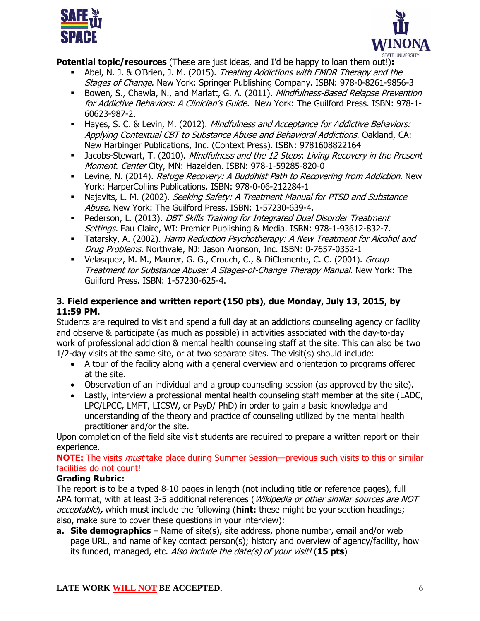



**Potential topic/resources** (These are just ideas, and I'd be happy to loan them out!)**:**

- Abel, N. J. & O'Brien, J. M. (2015). Treating Addictions with EMDR Therapy and the Stages of Change. New York: Springer Publishing Company. ISBN: 978-0-8261-9856-3
- Bowen, S., Chawla, N., and Marlatt, G. A. (2011). Mindfulness-Based Relapse Prevention for Addictive Behaviors: A Clinician's Guide. New York: The Guilford Press. ISBN: 978-1-60623-987-2.
- Hayes, S. C. & Levin, M. (2012). Mindfulness and Acceptance for Addictive Behaviors: Applying Contextual CBT to Substance Abuse and Behavioral Addictions. Oakland, CA: New Harbinger Publications, Inc. (Context Press). ISBN: 9781608822164
- Jacobs-Stewart, T. (2010). Mindfulness and the 12 Steps: Living Recovery in the Present Moment. Center City, MN: Hazelden. ISBN: 978-1-59285-820-0
- **-** Levine, N. (2014). *Refuge Recovery: A Buddhist Path to Recovering from Addiction*. New York: HarperCollins Publications. ISBN: 978-0-06-212284-1
- Najavits, L. M. (2002). Seeking Safety: A Treatment Manual for PTSD and Substance Abuse. New York: The Guilford Press. ISBN: 1-57230-639-4.
- Pederson, L. (2013). *DBT Skills Training for Integrated Dual Disorder Treatment* Settings. Eau Claire, WI: Premier Publishing & Media. ISBN: 978-1-93612-832-7.
- Tatarsky, A. (2002). Harm Reduction Psychotherapy: A New Treatment for Alcohol and Drug Problems. Northvale, NJ: Jason Aronson, Inc. ISBN: 0-7657-0352-1
- Velasquez, M. M., Maurer, G. G., Crouch, C., & DiClemente, C. C. (2001). Group Treatment for Substance Abuse: A Stages-of-Change Therapy Manual. New York: The Guilford Press. ISBN: 1-57230-625-4.

# **3. Field experience and written report (150 pts), due Monday, July 13, 2015, by 11:59 PM.**

Students are required to visit and spend a full day at an addictions counseling agency or facility and observe & participate (as much as possible) in activities associated with the day-to-day work of professional addiction & mental health counseling staff at the site. This can also be two 1/2-day visits at the same site, or at two separate sites. The visit(s) should include:

- A tour of the facility along with a general overview and orientation to programs offered at the site.
- Observation of an individual and a group counseling session (as approved by the site).
- Lastly, interview a professional mental health counseling staff member at the site (LADC, LPC/LPCC, LMFT, LICSW, or PsyD/ PhD) in order to gain a basic knowledge and understanding of the theory and practice of counseling utilized by the mental health practitioner and/or the site.

Upon completion of the field site visit students are required to prepare a written report on their experience.

**NOTE:** The visits must take place during Summer Session—previous such visits to this or similar facilities do not count!

# **Grading Rubric:**

The report is to be a typed 8-10 pages in length (not including title or reference pages), full APA format, with at least 3-5 additional references (Wikipedia or other similar sources are NOT acceptable)**,** which must include the following (**hint:** these might be your section headings; also, make sure to cover these questions in your interview):

**a. Site demographics** – Name of site(s), site address, phone number, email and/or web page URL, and name of key contact person(s); history and overview of agency/facility, how its funded, managed, etc. Also include the date(s) of your visit! (**15 pts**)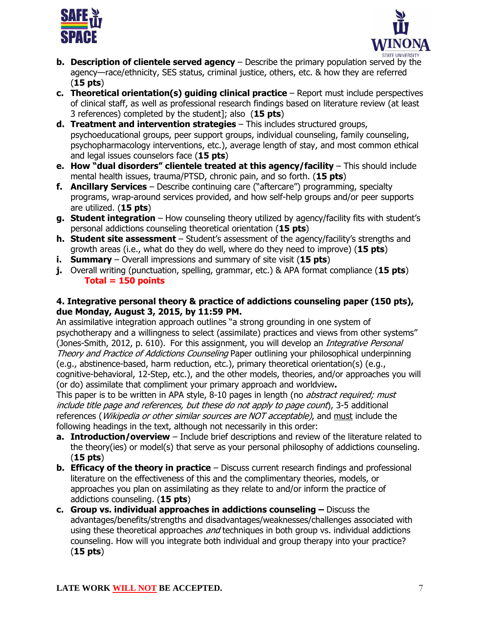



- **b. Description of clientele served agency** Describe the primary population served by the agency—race/ethnicity, SES status, criminal justice, others, etc. & how they are referred (**15 pts**)
- **c. Theoretical orientation(s) guiding clinical practice** Report must include perspectives of clinical staff, as well as professional research findings based on literature review (at least 3 references) completed by the student]; also (**15 pts**)
- **d. Treatment and intervention strategies** This includes structured groups, psychoeducational groups, peer support groups, individual counseling, family counseling, psychopharmacology interventions, etc.), average length of stay, and most common ethical and legal issues counselors face (**15 pts**)
- **e. How "dual disorders" clientele treated at this agency/facility** This should include mental health issues, trauma/PTSD, chronic pain, and so forth. (**15 pts**)
- **f. Ancillary Services** Describe continuing care ("aftercare") programming, specialty programs, wrap-around services provided, and how self-help groups and/or peer supports are utilized. (**15 pts**)
- **g. Student integration** How counseling theory utilized by agency/facility fits with student's personal addictions counseling theoretical orientation (**15 pts**)
- **h. Student site assessment** Student's assessment of the agency/facility's strengths and growth areas (i.e., what do they do well, where do they need to improve) (**15 pts**)
- **i. Summary** Overall impressions and summary of site visit (**15 pts**)
- **j.** Overall writing (punctuation, spelling, grammar, etc.) & APA format compliance (**15 pts**) **Total = 150 points**

# **4. Integrative personal theory & practice of addictions counseling paper (150 pts), due Monday, August 3, 2015, by 11:59 PM.**

An assimilative integration approach outlines "a strong grounding in one system of psychotherapy and a willingness to select (assimilate) practices and views from other systems" (Jones-Smith, 2012, p. 610). For this assignment, you will develop an *Integrative Personal* Theory and Practice of Addictions Counseling Paper outlining your philosophical underpinning (e.g., abstinence-based, harm reduction, etc.), primary theoretical orientation(s) (e.g.,

cognitive-behavioral, 12-Step, etc.), and the other models, theories, and/or approaches you will (or do) assimilate that compliment your primary approach and worldview**.**

This paper is to be written in APA style, 8-10 pages in length (no *abstract required; must* include title page and references, but these do not apply to page count), 3-5 additional references (*Wikipedia or other similar sources are NOT acceptable)*, and must include the following headings in the text, although not necessarily in this order:

- **a. Introduction/overview** Include brief descriptions and review of the literature related to the theory(ies) or model(s) that serve as your personal philosophy of addictions counseling. (**15 pts**)
- **b. Efficacy of the theory in practice** Discuss current research findings and professional literature on the effectiveness of this and the complimentary theories, models, or approaches you plan on assimilating as they relate to and/or inform the practice of addictions counseling. (**15 pts**)
- **c.** Group vs. individual approaches in addictions counseling Discuss the advantages/benefits/strengths and disadvantages/weaknesses/challenges associated with using these theoretical approaches and techniques in both group vs. individual addictions counseling. How will you integrate both individual and group therapy into your practice? (**15 pts**)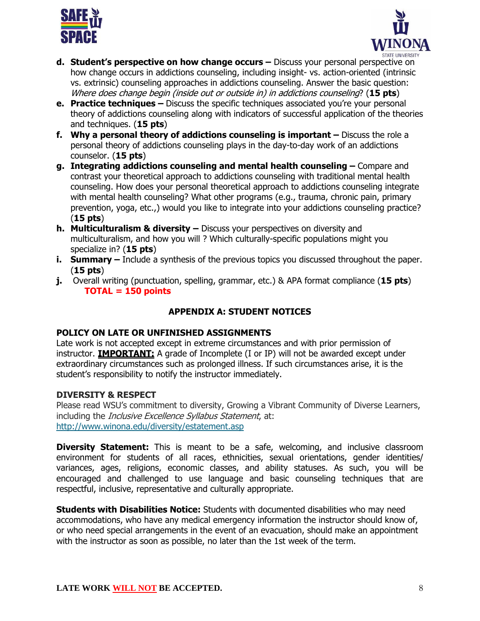



- **d. Student's perspective on how change occurs –** Discuss your personal perspective on how change occurs in addictions counseling, including insight- vs. action-oriented (intrinsic vs. extrinsic) counseling approaches in addictions counseling. Answer the basic question: Where does change begin (inside out or outside in) in addictions counseling? (**15 pts**)
- **e. Practice techniques –** Discuss the specific techniques associated you're your personal theory of addictions counseling along with indicators of successful application of the theories and techniques. (**15 pts**)
- **f.** Why a personal theory of addictions counseling is important Discuss the role a personal theory of addictions counseling plays in the day-to-day work of an addictions counselor. (**15 pts**)
- **g. Integrating addictions counseling and mental health counseling –** Compare and contrast your theoretical approach to addictions counseling with traditional mental health counseling. How does your personal theoretical approach to addictions counseling integrate with mental health counseling? What other programs (e.g., trauma, chronic pain, primary prevention, yoga, etc.,) would you like to integrate into your addictions counseling practice? (**15 pts**)
- **h. Multiculturalism & diversity –** Discuss your perspectives on diversity and multiculturalism, and how you will ? Which culturally-specific populations might you specialize in? (**15 pts**)
- **i. Summary** Include a synthesis of the previous topics you discussed throughout the paper. (**15 pts**)
- **j.** Overall writing (punctuation, spelling, grammar, etc.) & APA format compliance (**15 pts**) **TOTAL = 150 points**

# **APPENDIX A: STUDENT NOTICES**

# **POLICY ON LATE OR UNFINISHED ASSIGNMENTS**

Late work is not accepted except in extreme circumstances and with prior permission of instructor. **IMPORTANT:** A grade of Incomplete (I or IP) will not be awarded except under extraordinary circumstances such as prolonged illness. If such circumstances arise, it is the student's responsibility to notify the instructor immediately.

# **DIVERSITY & RESPECT**

Please read WSU's commitment to diversity, Growing a Vibrant Community of Diverse Learners, including the *Inclusive Excellence Syllabus Statement*, at: <http://www.winona.edu/diversity/estatement.asp>

**Diversity Statement:** This is meant to be a safe, welcoming, and inclusive classroom environment for students of all races, ethnicities, sexual orientations, gender identities/ variances, ages, religions, economic classes, and ability statuses. As such, you will be encouraged and challenged to use language and basic counseling techniques that are respectful, inclusive, representative and culturally appropriate.

**Students with Disabilities Notice:** Students with documented disabilities who may need accommodations, who have any medical emergency information the instructor should know of, or who need special arrangements in the event of an evacuation, should make an appointment with the instructor as soon as possible, no later than the 1st week of the term.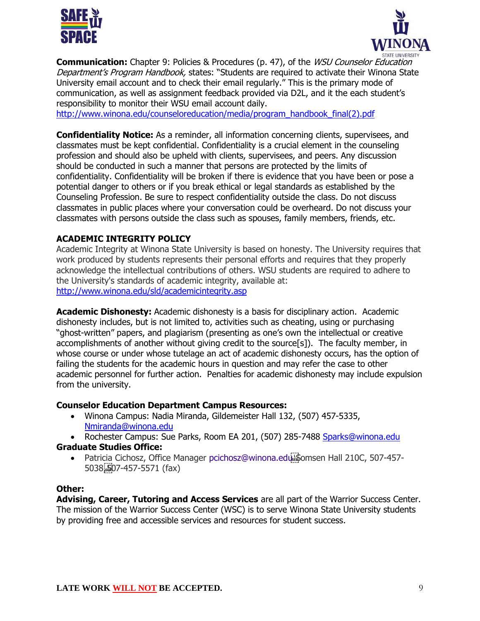



**Communication:** Chapter 9: Policies & Procedures (p. 47), of the *WSU Counselor Education* Department's Program Handbook, states: "Students are required to activate their Winona State University email account and to check their email regularly." This is the primary mode of communication, as well as assignment feedback provided via D2L, and it the each student's responsibility to monitor their WSU email account daily.

[http://www.winona.edu/counseloreducation/media/program\\_handbook\\_final\(2\).pdf](http://www.winona.edu/counseloreducation/media/program_handbook_final(2).pdf)

**Confidentiality Notice:** As a reminder, all information concerning clients, supervisees, and classmates must be kept confidential. Confidentiality is a crucial element in the counseling profession and should also be upheld with clients, supervisees, and peers. Any discussion should be conducted in such a manner that persons are protected by the limits of confidentiality. Confidentiality will be broken if there is evidence that you have been or pose a potential danger to others or if you break ethical or legal standards as established by the Counseling Profession. Be sure to respect confidentiality outside the class. Do not discuss classmates in public places where your conversation could be overheard. Do not discuss your classmates with persons outside the class such as spouses, family members, friends, etc.

# **ACADEMIC INTEGRITY POLICY**

Academic Integrity at Winona State University is based on honesty. The University requires that work produced by students represents their personal efforts and requires that they properly acknowledge the intellectual contributions of others. WSU students are required to adhere to the University's standards of academic integrity, available at: <http://www.winona.edu/sld/academicintegrity.asp>

**Academic Dishonesty:** Academic dishonesty is a basis for disciplinary action. Academic dishonesty includes, but is not limited to, activities such as cheating, using or purchasing "ghost-written" papers, and plagiarism (presenting as one's own the intellectual or creative accomplishments of another without giving credit to the source[s]). The faculty member, in whose course or under whose tutelage an act of academic dishonesty occurs, has the option of failing the students for the academic hours in question and may refer the case to other academic personnel for further action. Penalties for academic dishonesty may include expulsion from the university.

#### **Counselor Education Department Campus Resources:**

- Winona Campus: Nadia Miranda, Gildemeister Hall 132, (507) 457-5335, [Nmiranda@winona.edu](mailto:Nmiranda@winona.edu)
- Rochester Campus: Sue Parks, Room EA 201, (507) 285-7488 [Sparks@winona.edu](mailto:Sparks@winona.edu) **Graduate Studies Office:** 
	- Patricia Cichosz, Office Manager [pcichosz@winona.edu](mailto:pcichosz@winona.edu?subject=Graduate%20Studies) Bomsen Hall 210C, 507-457-5038, 507-457-5571 (fax)

#### **Other:**

**Advising, Career, Tutoring and Access Services** are all part of the Warrior Success Center. The mission of the Warrior Success Center (WSC) is to serve Winona State University students by providing free and accessible services and resources for student success.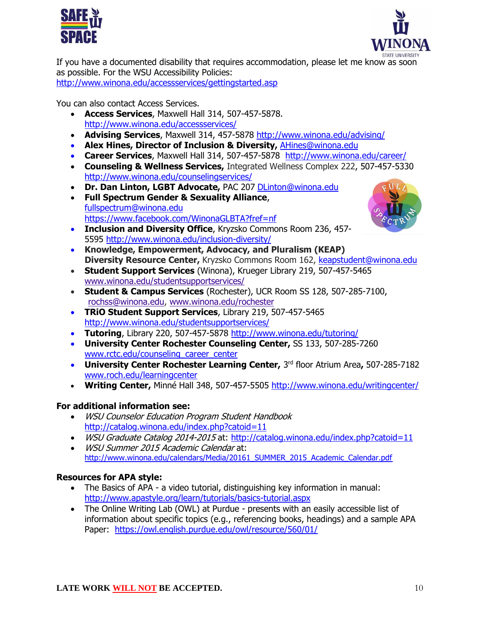



If you have a documented disability that requires accommodation, please let me know as soon as possible. For the WSU Accessibility Policies: <http://www.winona.edu/accessservices/gettingstarted.asp>

You can also contact Access Services.

- **Access Services**, Maxwell Hall 314, 507-457-5878. <http://www.winona.edu/accessservices/>
- **Advising Services**, Maxwell 314, 457-5878<http://www.winona.edu/advising/>
- **Alex Hines, Director of Inclusion & Diversity,** [AHines@winona.edu](mailto:AHines@winona.edu)
- **Career Services**, Maxwell Hall 314, 507-457-5878 <http://www.winona.edu/career/>
- **Counseling & Wellness Services,** Integrated Wellness Complex 222, 507-457-5330 <http://www.winona.edu/counselingservices/>
- **Dr. Dan Linton, LGBT Advocate,** PAC 207 [DLinton@winona.edu](mailto:DLinton@winona.edu)
- **Full Spectrum Gender & Sexuality Alliance**, [fullspectrum@winona.edu](mailto:fullspectrum@winona.edu) <https://www.facebook.com/WinonaGLBTA?fref=nf>
- **Inclusion and Diversity Office**, Kryzsko Commons Room 236, 457- 5595<http://www.winona.edu/inclusion-diversity/>
- **Knowledge, Empowerment, Advocacy, and Pluralism (KEAP) Diversity Resource Center,** Kryzsko Commons Room 162, [keapstudent@winona.edu](mailto:keapstudent@winona.edu)
- **Student Support Services** (Winona), Krueger Library 219, 507-457-5465 [www.winona.edu/studentsupportservices/](http://www.winona.edu/studentsupportservices/)
- **Student & Campus Services** (Rochester), UCR Room SS 128, 507-285-7100, [rochss@winona.edu,](mailto:rochss@winona.edu) [www.winona.edu/rochester](http://www.winona.edu/rochester)
- **TRiO Student Support Services**, Library 219, 507-457-5465 <http://www.winona.edu/studentsupportservices/>
- **Tutoring**, Library 220, 507-457-5878<http://www.winona.edu/tutoring/>
- **University Center Rochester Counseling Center,** SS 133, 507-285-7260 [www.rctc.edu/counseling\\_career\\_center](http://www.rctc.edu/counseling_career_center)
- **University Center Rochester Learning Center, 3rd floor Atrium Area, 507-285-7182** [www.roch.edu/learningcenter](http://www.roch.edu/learningcenter)
- **Writing Center,** Minné Hall 348, 507-457-5505<http://www.winona.edu/writingcenter/>

# **For additional information see:**

- WSU Counselor Education Program Student Handbook <http://catalog.winona.edu/index.php?catoid=11>
- WSU Graduate Catalog 2014-2015 at:<http://catalog.winona.edu/index.php?catoid=11>
- WSU Summer 2015 Academic Calendar at: [http://www.winona.edu/calendars/Media/20161\\_SUMMER\\_2015\\_Academic\\_Calendar.pdf](http://www.winona.edu/calendars/Media/20161_SUMMER_2015_Academic_Calendar.pdf)

# **Resources for APA style:**

- The Basics of APA a video tutorial, distinguishing key information in manual: <http://www.apastyle.org/learn/tutorials/basics-tutorial.aspx>
- The Online Writing Lab (OWL) at Purdue presents with an easily accessible list of information about specific topics (e.g., referencing books, headings) and a sample APA Paper: <https://owl.english.purdue.edu/owl/resource/560/01/>